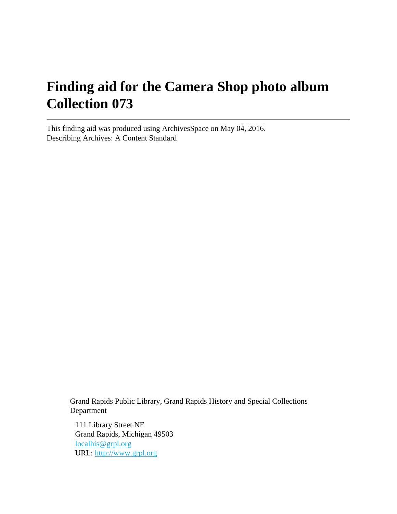# **Finding aid for the Camera Shop photo album Collection 073**

This finding aid was produced using ArchivesSpace on May 04, 2016. Describing Archives: A Content Standard

> Grand Rapids Public Library, Grand Rapids History and Special Collections Department

111 Library Street NE Grand Rapids, Michigan 49503 [localhis@grpl.org](mailto:localhis@grpl.org) URL:<http://www.grpl.org>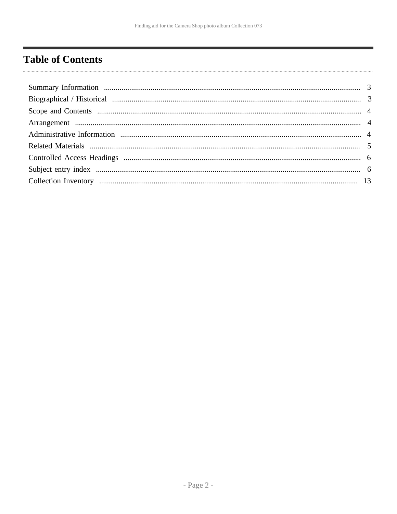# <span id="page-1-0"></span>**Table of Contents**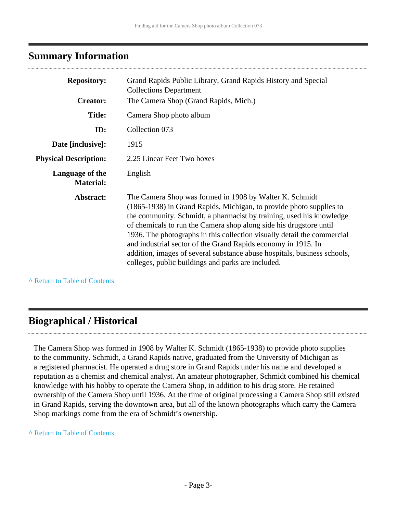## <span id="page-2-0"></span>**Summary Information**

| <b>Repository:</b><br><b>Creator:</b> | Grand Rapids Public Library, Grand Rapids History and Special<br><b>Collections Department</b><br>The Camera Shop (Grand Rapids, Mich.)                                                                                                                                                                                                                                                                                                                                                                                                                    |
|---------------------------------------|------------------------------------------------------------------------------------------------------------------------------------------------------------------------------------------------------------------------------------------------------------------------------------------------------------------------------------------------------------------------------------------------------------------------------------------------------------------------------------------------------------------------------------------------------------|
| <b>Title:</b>                         | Camera Shop photo album                                                                                                                                                                                                                                                                                                                                                                                                                                                                                                                                    |
| ID:                                   | Collection 073                                                                                                                                                                                                                                                                                                                                                                                                                                                                                                                                             |
| Date [inclusive]:                     | 1915                                                                                                                                                                                                                                                                                                                                                                                                                                                                                                                                                       |
| <b>Physical Description:</b>          | 2.25 Linear Feet Two boxes                                                                                                                                                                                                                                                                                                                                                                                                                                                                                                                                 |
| Language of the<br><b>Material:</b>   | English                                                                                                                                                                                                                                                                                                                                                                                                                                                                                                                                                    |
| Abstract:                             | The Camera Shop was formed in 1908 by Walter K. Schmidt<br>(1865-1938) in Grand Rapids, Michigan, to provide photo supplies to<br>the community. Schmidt, a pharmacist by training, used his knowledge<br>of chemicals to run the Camera shop along side his drugstore until<br>1936. The photographs in this collection visually detail the commercial<br>and industrial sector of the Grand Rapids economy in 1915. In<br>addition, images of several substance abuse hospitals, business schools,<br>colleges, public buildings and parks are included. |

**^** [Return to Table of Contents](#page-1-0)

# <span id="page-2-1"></span>**Biographical / Historical**

The Camera Shop was formed in 1908 by Walter K. Schmidt (1865-1938) to provide photo supplies to the community. Schmidt, a Grand Rapids native, graduated from the University of Michigan as a registered pharmacist. He operated a drug store in Grand Rapids under his name and developed a reputation as a chemist and chemical analyst. An amateur photographer, Schmidt combined his chemical knowledge with his hobby to operate the Camera Shop, in addition to his drug store. He retained ownership of the Camera Shop until 1936. At the time of original processing a Camera Shop still existed in Grand Rapids, serving the downtown area, but all of the known photographs which carry the Camera Shop markings come from the era of Schmidt's ownership.

#### **^** [Return to Table of Contents](#page-1-0)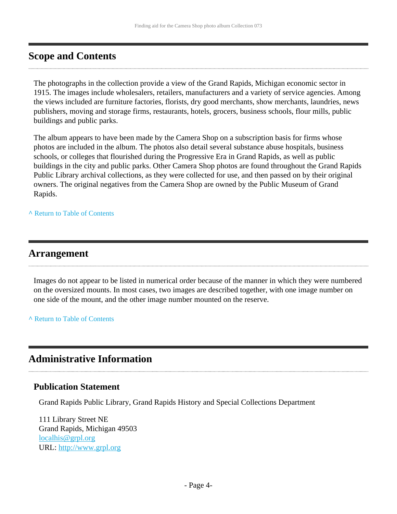# <span id="page-3-0"></span>**Scope and Contents**

The photographs in the collection provide a view of the Grand Rapids, Michigan economic sector in 1915. The images include wholesalers, retailers, manufacturers and a variety of service agencies. Among the views included are furniture factories, florists, dry good merchants, show merchants, laundries, news publishers, moving and storage firms, restaurants, hotels, grocers, business schools, flour mills, public buildings and public parks.

The album appears to have been made by the Camera Shop on a subscription basis for firms whose photos are included in the album. The photos also detail several substance abuse hospitals, business schools, or colleges that flourished during the Progressive Era in Grand Rapids, as well as public buildings in the city and public parks. Other Camera Shop photos are found throughout the Grand Rapids Public Library archival collections, as they were collected for use, and then passed on by their original owners. The original negatives from the Camera Shop are owned by the Public Museum of Grand Rapids.

**^** [Return to Table of Contents](#page-1-0)

## <span id="page-3-1"></span>**Arrangement**

Images do not appear to be listed in numerical order because of the manner in which they were numbered on the oversized mounts. In most cases, two images are described together, with one image number on one side of the mount, and the other image number mounted on the reserve.

**^** [Return to Table of Contents](#page-1-0)

# <span id="page-3-2"></span>**Administrative Information**

#### **Publication Statement**

Grand Rapids Public Library, Grand Rapids History and Special Collections Department

111 Library Street NE Grand Rapids, Michigan 49503 [localhis@grpl.org](mailto:localhis@grpl.org) URL:<http://www.grpl.org>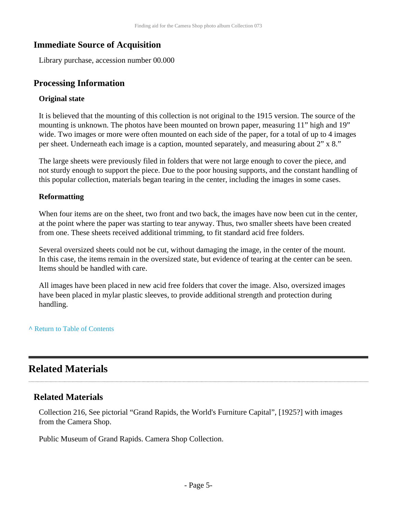## **Immediate Source of Acquisition**

Library purchase, accession number 00.000

## **Processing Information**

#### **Original state**

It is believed that the mounting of this collection is not original to the 1915 version. The source of the mounting is unknown. The photos have been mounted on brown paper, measuring 11" high and 19" wide. Two images or more were often mounted on each side of the paper, for a total of up to 4 images per sheet. Underneath each image is a caption, mounted separately, and measuring about 2" x 8."

The large sheets were previously filed in folders that were not large enough to cover the piece, and not sturdy enough to support the piece. Due to the poor housing supports, and the constant handling of this popular collection, materials began tearing in the center, including the images in some cases.

#### **Reformatting**

When four items are on the sheet, two front and two back, the images have now been cut in the center, at the point where the paper was starting to tear anyway. Thus, two smaller sheets have been created from one. These sheets received additional trimming, to fit standard acid free folders.

Several oversized sheets could not be cut, without damaging the image, in the center of the mount. In this case, the items remain in the oversized state, but evidence of tearing at the center can be seen. Items should be handled with care.

All images have been placed in new acid free folders that cover the image. Also, oversized images have been placed in mylar plastic sleeves, to provide additional strength and protection during handling.

#### **^** [Return to Table of Contents](#page-1-0)

# <span id="page-4-0"></span>**Related Materials**

### **Related Materials**

Collection 216, See pictorial "Grand Rapids, the World's Furniture Capital", [1925?] with images from the Camera Shop.

Public Museum of Grand Rapids. Camera Shop Collection.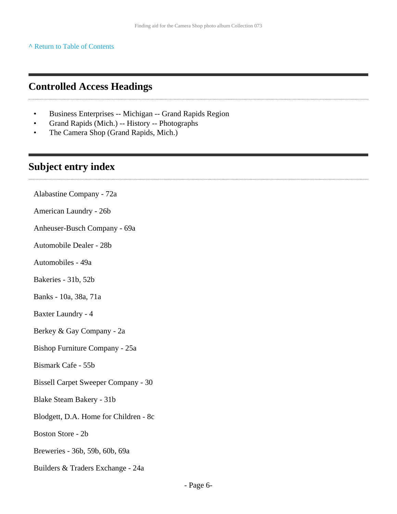**^** [Return to Table of Contents](#page-1-0)

## <span id="page-5-0"></span>**Controlled Access Headings**

- Business Enterprises -- Michigan -- Grand Rapids Region
- Grand Rapids (Mich.) -- History -- Photographs
- The Camera Shop (Grand Rapids, Mich.)

## <span id="page-5-1"></span>**Subject entry index**

Alabastine Company - 72a American Laundry - 26b Anheuser-Busch Company - 69a Automobile Dealer - 28b Automobiles - 49a Bakeries - 31b, 52b Banks - 10a, 38a, 71a Baxter Laundry - 4 Berkey & Gay Company - 2a Bishop Furniture Company - 25a Bismark Cafe - 55b Bissell Carpet Sweeper Company - 30 Blake Steam Bakery - 31b Blodgett, D.A. Home for Children - 8c Boston Store - 2b Breweries - 36b, 59b, 60b, 69a Builders & Traders Exchange - 24a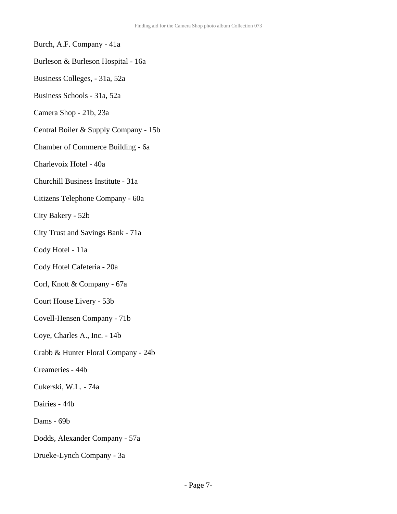- Burch, A.F. Company 41a
- Burleson & Burleson Hospital 16a
- Business Colleges, 31a, 52a
- Business Schools 31a, 52a
- Camera Shop 21b, 23a
- Central Boiler & Supply Company 15b
- Chamber of Commerce Building 6a
- Charlevoix Hotel 40a
- Churchill Business Institute 31a
- Citizens Telephone Company 60a
- City Bakery 52b
- City Trust and Savings Bank 71a
- Cody Hotel 11a
- Cody Hotel Cafeteria 20a
- Corl, Knott & Company 67a
- Court House Livery 53b
- Covell-Hensen Company 71b
- Coye, Charles A., Inc. 14b
- Crabb & Hunter Floral Company 24b
- Creameries 44b
- Cukerski, W.L. 74a
- Dairies 44b
- Dams 69b
- Dodds, Alexander Company 57a
- Drueke-Lynch Company 3a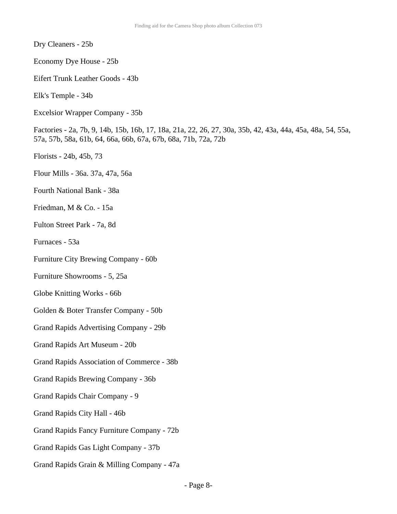Dry Cleaners - 25b

- Economy Dye House 25b
- Eifert Trunk Leather Goods 43b
- Elk's Temple 34b
- Excelsior Wrapper Company 35b

Factories - 2a, 7b, 9, 14b, 15b, 16b, 17, 18a, 21a, 22, 26, 27, 30a, 35b, 42, 43a, 44a, 45a, 48a, 54, 55a, 57a, 57b, 58a, 61b, 64, 66a, 66b, 67a, 67b, 68a, 71b, 72a, 72b

- Florists 24b, 45b, 73
- Flour Mills 36a. 37a, 47a, 56a
- Fourth National Bank 38a
- Friedman, M & Co. 15a
- Fulton Street Park 7a, 8d
- Furnaces 53a
- Furniture City Brewing Company 60b
- Furniture Showrooms 5, 25a
- Globe Knitting Works 66b
- Golden & Boter Transfer Company 50b
- Grand Rapids Advertising Company 29b
- Grand Rapids Art Museum 20b
- Grand Rapids Association of Commerce 38b
- Grand Rapids Brewing Company 36b
- Grand Rapids Chair Company 9
- Grand Rapids City Hall 46b
- Grand Rapids Fancy Furniture Company 72b
- Grand Rapids Gas Light Company 37b
- Grand Rapids Grain & Milling Company 47a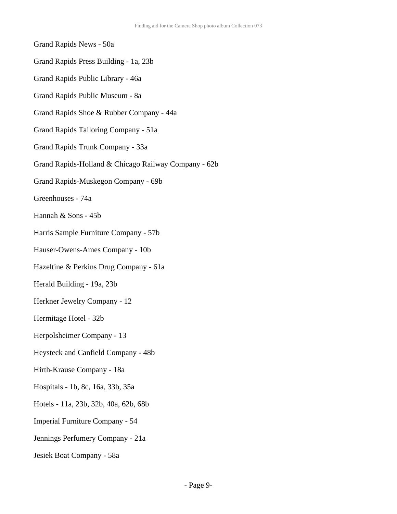# Grand Rapids News - 50a Grand Rapids Press Building - 1a, 23b Grand Rapids Public Library - 46a Grand Rapids Public Museum - 8a Grand Rapids Shoe & Rubber Company - 44a Grand Rapids Tailoring Company - 51a Grand Rapids Trunk Company - 33a Grand Rapids-Holland & Chicago Railway Company - 62b Grand Rapids-Muskegon Company - 69b Greenhouses - 74a Hannah & Sons - 45b Harris Sample Furniture Company - 57b Hauser-Owens-Ames Company - 10b Hazeltine & Perkins Drug Company - 61a Herald Building - 19a, 23b Herkner Jewelry Company - 12 Hermitage Hotel - 32b Herpolsheimer Company - 13 Heysteck and Canfield Company - 48b Hirth-Krause Company - 18a Hospitals - 1b, 8c, 16a, 33b, 35a Hotels - 11a, 23b, 32b, 40a, 62b, 68b Imperial Furniture Company - 54 Jennings Perfumery Company - 21a Jesiek Boat Company - 58a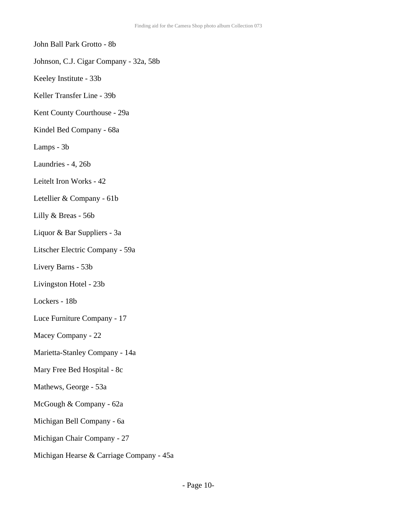John Ball Park Grotto - 8b

- Johnson, C.J. Cigar Company 32a, 58b
- Keeley Institute 33b
- Keller Transfer Line 39b
- Kent County Courthouse 29a
- Kindel Bed Company 68a
- Lamps 3b
- Laundries 4, 26b
- Leitelt Iron Works 42
- Letellier & Company 61b
- Lilly & Breas 56b
- Liquor & Bar Suppliers 3a
- Litscher Electric Company 59a
- Livery Barns 53b
- Livingston Hotel 23b
- Lockers 18b
- Luce Furniture Company 17
- Macey Company 22
- Marietta-Stanley Company 14a
- Mary Free Bed Hospital 8c
- Mathews, George 53a
- McGough & Company 62a
- Michigan Bell Company 6a
- Michigan Chair Company 27
- Michigan Hearse & Carriage Company 45a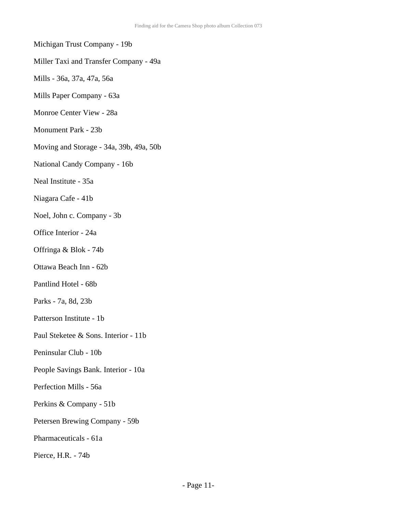#### Michigan Trust Company - 19b

#### Miller Taxi and Transfer Company - 49a

- Mills 36a, 37a, 47a, 56a
- Mills Paper Company 63a
- Monroe Center View 28a
- Monument Park 23b
- Moving and Storage 34a, 39b, 49a, 50b
- National Candy Company 16b
- Neal Institute 35a
- Niagara Cafe 41b
- Noel, John c. Company 3b
- Office Interior 24a
- Offringa & Blok 74b
- Ottawa Beach Inn 62b
- Pantlind Hotel 68b
- Parks 7a, 8d, 23b
- Patterson Institute 1b
- Paul Steketee & Sons. Interior 11b
- Peninsular Club 10b
- People Savings Bank. Interior 10a
- Perfection Mills 56a
- Perkins & Company 51b
- Petersen Brewing Company 59b
- Pharmaceuticals 61a
- Pierce, H.R. 74b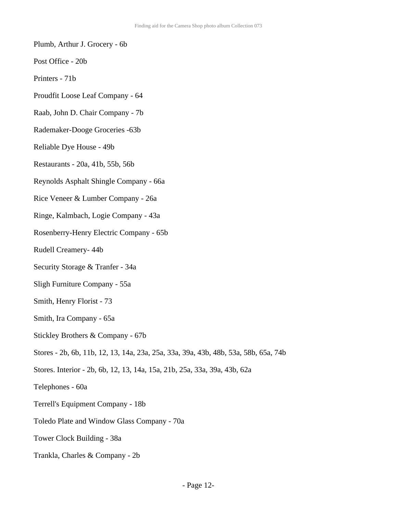- Plumb, Arthur J. Grocery 6b
- Post Office 20b
- Printers 71b
- Proudfit Loose Leaf Company 64
- Raab, John D. Chair Company 7b
- Rademaker-Dooge Groceries -63b
- Reliable Dye House 49b
- Restaurants 20a, 41b, 55b, 56b
- Reynolds Asphalt Shingle Company 66a
- Rice Veneer & Lumber Company 26a
- Ringe, Kalmbach, Logie Company 43a
- Rosenberry-Henry Electric Company 65b
- Rudell Creamery- 44b
- Security Storage & Tranfer 34a
- Sligh Furniture Company 55a
- Smith, Henry Florist 73
- Smith, Ira Company 65a
- Stickley Brothers & Company 67b
- Stores 2b, 6b, 11b, 12, 13, 14a, 23a, 25a, 33a, 39a, 43b, 48b, 53a, 58b, 65a, 74b
- Stores. Interior 2b, 6b, 12, 13, 14a, 15a, 21b, 25a, 33a, 39a, 43b, 62a
- Telephones 60a
- Terrell's Equipment Company 18b
- Toledo Plate and Window Glass Company 70a
- Tower Clock Building 38a
- Trankla, Charles & Company 2b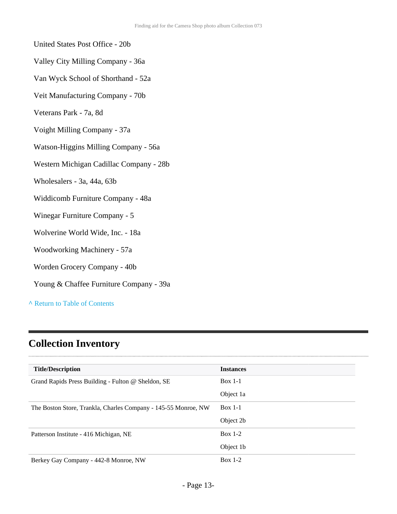#### United States Post Office - 20b

- Valley City Milling Company 36a
- Van Wyck School of Shorthand 52a
- Veit Manufacturing Company 70b
- Veterans Park 7a, 8d
- Voight Milling Company 37a
- Watson-Higgins Milling Company 56a
- Western Michigan Cadillac Company 28b
- Wholesalers 3a, 44a, 63b
- Widdicomb Furniture Company 48a
- Winegar Furniture Company 5
- Wolverine World Wide, Inc. 18a
- Woodworking Machinery 57a
- Worden Grocery Company 40b
- Young & Chaffee Furniture Company 39a

**^** [Return to Table of Contents](#page-1-0)

# <span id="page-12-0"></span>**Collection Inventory**

| <b>Title/Description</b>                                       | <b>Instances</b> |
|----------------------------------------------------------------|------------------|
| Grand Rapids Press Building - Fulton @ Sheldon, SE             | $Box 1-1$        |
|                                                                | Object 1a        |
| The Boston Store, Trankla, Charles Company - 145-55 Monroe, NW | $Box 1-1$        |
|                                                                | Object 2b        |
| Patterson Institute - 416 Michigan, NE                         | Box $1-2$        |
|                                                                | Object 1b        |
| Berkey Gay Company - 442-8 Monroe, NW                          | Box $1-2$        |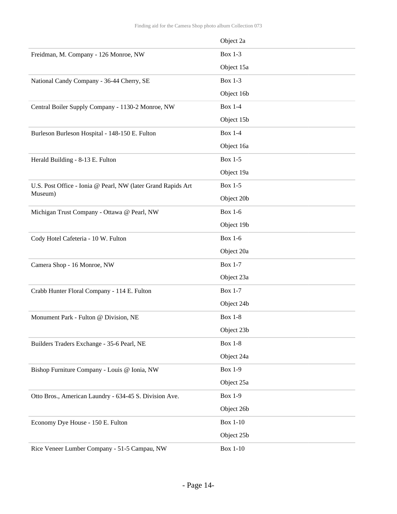|                                                              | Object 2a       |
|--------------------------------------------------------------|-----------------|
| Freidman, M. Company - 126 Monroe, NW                        | <b>Box 1-3</b>  |
|                                                              | Object 15a      |
| National Candy Company - 36-44 Cherry, SE                    | <b>Box 1-3</b>  |
|                                                              | Object 16b      |
| Central Boiler Supply Company - 1130-2 Monroe, NW            | <b>Box 1-4</b>  |
|                                                              | Object 15b      |
| Burleson Burleson Hospital - 148-150 E. Fulton               | <b>Box 1-4</b>  |
|                                                              | Object 16a      |
| Herald Building - 8-13 E. Fulton                             | <b>Box 1-5</b>  |
|                                                              | Object 19a      |
| U.S. Post Office - Ionia @ Pearl, NW (later Grand Rapids Art | <b>Box 1-5</b>  |
| Museum)                                                      | Object 20b      |
| Michigan Trust Company - Ottawa @ Pearl, NW                  | <b>Box 1-6</b>  |
|                                                              | Object 19b      |
| Cody Hotel Cafeteria - 10 W. Fulton                          | <b>Box 1-6</b>  |
|                                                              | Object 20a      |
| Camera Shop - 16 Monroe, NW                                  | <b>Box 1-7</b>  |
|                                                              | Object 23a      |
| Crabb Hunter Floral Company - 114 E. Fulton                  | <b>Box 1-7</b>  |
|                                                              | Object 24b      |
| Monument Park - Fulton @ Division, NE                        | <b>Box 1-8</b>  |
|                                                              | Object 23b      |
| Builders Traders Exchange - 35-6 Pearl, NE                   | <b>Box 1-8</b>  |
|                                                              | Object 24a      |
| Bishop Furniture Company - Louis @ Ionia, NW                 | <b>Box 1-9</b>  |
|                                                              | Object 25a      |
| Otto Bros., American Laundry - 634-45 S. Division Ave.       | <b>Box 1-9</b>  |
|                                                              | Object 26b      |
| Economy Dye House - 150 E. Fulton                            | <b>Box 1-10</b> |
|                                                              | Object 25b      |
| Rice Veneer Lumber Company - 51-5 Campau, NW                 | <b>Box 1-10</b> |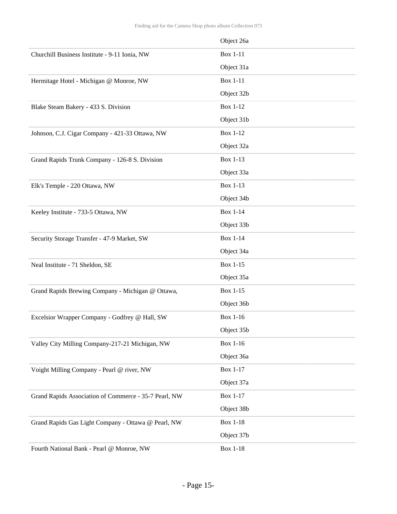|                                                       | Object 26a      |
|-------------------------------------------------------|-----------------|
| Churchill Business Institute - 9-11 Ionia, NW         | <b>Box 1-11</b> |
|                                                       | Object 31a      |
| Hermitage Hotel - Michigan @ Monroe, NW               | <b>Box 1-11</b> |
|                                                       | Object 32b      |
| Blake Steam Bakery - 433 S. Division                  | <b>Box 1-12</b> |
|                                                       | Object 31b      |
| Johnson, C.J. Cigar Company - 421-33 Ottawa, NW       | <b>Box 1-12</b> |
|                                                       | Object 32a      |
| Grand Rapids Trunk Company - 126-8 S. Division        | Box 1-13        |
|                                                       | Object 33a      |
| Elk's Temple - 220 Ottawa, NW                         | <b>Box 1-13</b> |
|                                                       | Object 34b      |
| Keeley Institute - 733-5 Ottawa, NW                   | <b>Box 1-14</b> |
|                                                       | Object 33b      |
| Security Storage Transfer - 47-9 Market, SW           | <b>Box 1-14</b> |
|                                                       | Object 34a      |
| Neal Institute - 71 Sheldon, SE                       | Box 1-15        |
|                                                       | Object 35a      |
| Grand Rapids Brewing Company - Michigan @ Ottawa,     | Box 1-15        |
|                                                       | Object 36b      |
| Excelsior Wrapper Company - Godfrey @ Hall, SW        | Box 1-16        |
|                                                       | Object 35b      |
| Valley City Milling Company-217-21 Michigan, NW       | Box 1-16        |
|                                                       | Object 36a      |
| Voight Milling Company - Pearl @ river, NW            | Box 1-17        |
|                                                       | Object 37a      |
| Grand Rapids Association of Commerce - 35-7 Pearl, NW | Box 1-17        |
|                                                       | Object 38b      |
| Grand Rapids Gas Light Company - Ottawa @ Pearl, NW   | <b>Box 1-18</b> |
|                                                       | Object 37b      |
| Fourth National Bank - Pearl @ Monroe, NW             | <b>Box 1-18</b> |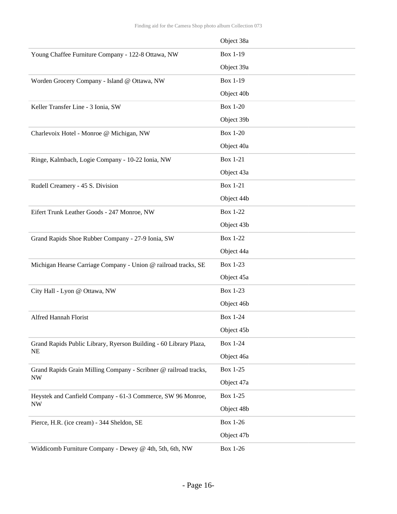|                                                                   | Object 38a      |
|-------------------------------------------------------------------|-----------------|
| Young Chaffee Furniture Company - 122-8 Ottawa, NW                | Box 1-19        |
|                                                                   | Object 39a      |
| Worden Grocery Company - Island @ Ottawa, NW                      | Box 1-19        |
|                                                                   | Object 40b      |
| Keller Transfer Line - 3 Ionia, SW                                | <b>Box 1-20</b> |
|                                                                   | Object 39b      |
| Charlevoix Hotel - Monroe @ Michigan, NW                          | <b>Box 1-20</b> |
|                                                                   | Object 40a      |
| Ringe, Kalmbach, Logie Company - 10-22 Ionia, NW                  | <b>Box 1-21</b> |
|                                                                   | Object 43a      |
| Rudell Creamery - 45 S. Division                                  | <b>Box 1-21</b> |
|                                                                   | Object 44b      |
| Eifert Trunk Leather Goods - 247 Monroe, NW                       | <b>Box 1-22</b> |
|                                                                   | Object 43b      |
| Grand Rapids Shoe Rubber Company - 27-9 Ionia, SW                 | <b>Box 1-22</b> |
|                                                                   | Object 44a      |
| Michigan Hearse Carriage Company - Union @ railroad tracks, SE    | Box 1-23        |
|                                                                   | Object 45a      |
| City Hall - Lyon @ Ottawa, NW                                     | <b>Box 1-23</b> |
|                                                                   | Object 46b      |
| Alfred Hannah Florist                                             | <b>Box 1-24</b> |
|                                                                   | Object 45b      |
| Grand Rapids Public Library, Ryerson Building - 60 Library Plaza, | Box 1-24        |
| <b>NE</b>                                                         | Object 46a      |
| Grand Rapids Grain Milling Company - Scribner @ railroad tracks,  | Box 1-25        |
| <b>NW</b>                                                         | Object 47a      |
| Heystek and Canfield Company - 61-3 Commerce, SW 96 Monroe,       | Box 1-25        |
| <b>NW</b>                                                         | Object 48b      |
| Pierce, H.R. (ice cream) - 344 Sheldon, SE                        | Box 1-26        |
|                                                                   | Object 47b      |
| Widdicomb Furniture Company - Dewey @ 4th, 5th, 6th, NW           | Box 1-26        |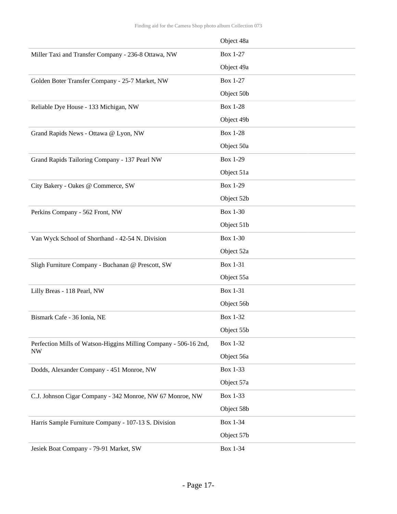|                                                                  | Object 48a      |
|------------------------------------------------------------------|-----------------|
| Miller Taxi and Transfer Company - 236-8 Ottawa, NW              | <b>Box 1-27</b> |
|                                                                  | Object 49a      |
| Golden Boter Transfer Company - 25-7 Market, NW                  | <b>Box 1-27</b> |
|                                                                  | Object 50b      |
| Reliable Dye House - 133 Michigan, NW                            | <b>Box 1-28</b> |
|                                                                  | Object 49b      |
| Grand Rapids News - Ottawa @ Lyon, NW                            | <b>Box 1-28</b> |
|                                                                  | Object 50a      |
| Grand Rapids Tailoring Company - 137 Pearl NW                    | Box 1-29        |
|                                                                  | Object 51a      |
| City Bakery - Oakes @ Commerce, SW                               | Box 1-29        |
|                                                                  | Object 52b      |
| Perkins Company - 562 Front, NW                                  | <b>Box 1-30</b> |
|                                                                  | Object 51b      |
| Van Wyck School of Shorthand - 42-54 N. Division                 | <b>Box 1-30</b> |
|                                                                  | Object 52a      |
| Sligh Furniture Company - Buchanan @ Prescott, SW                | Box 1-31        |
|                                                                  | Object 55a      |
| Lilly Breas - 118 Pearl, NW                                      | Box 1-31        |
|                                                                  | Object 56b      |
| Bismark Cafe - 36 Ionia, NE                                      | Box 1-32        |
|                                                                  | Object 55b      |
| Perfection Mills of Watson-Higgins Milling Company - 506-16 2nd, | Box 1-32        |
| <b>NW</b>                                                        | Object 56a      |
| Dodds, Alexander Company - 451 Monroe, NW                        | Box 1-33        |
|                                                                  | Object 57a      |
| C.J. Johnson Cigar Company - 342 Monroe, NW 67 Monroe, NW        | Box 1-33        |
|                                                                  | Object 58b      |
| Harris Sample Furniture Company - 107-13 S. Division             | Box 1-34        |
|                                                                  | Object 57b      |
| Jesiek Boat Company - 79-91 Market, SW                           | Box 1-34        |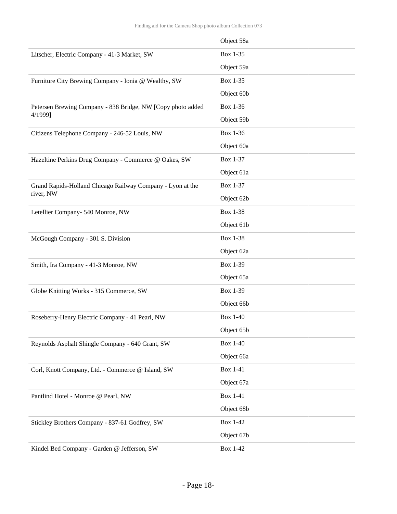|                                                             | Object 58a      |
|-------------------------------------------------------------|-----------------|
| Litscher, Electric Company - 41-3 Market, SW                | Box 1-35        |
|                                                             | Object 59a      |
| Furniture City Brewing Company - Ionia @ Wealthy, SW        | Box 1-35        |
|                                                             | Object 60b      |
| Petersen Brewing Company - 838 Bridge, NW [Copy photo added | Box 1-36        |
| 4/1999]                                                     | Object 59b      |
| Citizens Telephone Company - 246-52 Louis, NW               | Box 1-36        |
|                                                             | Object 60a      |
| Hazeltine Perkins Drug Company - Commerce @ Oakes, SW       | Box 1-37        |
|                                                             | Object 61a      |
| Grand Rapids-Holland Chicago Railway Company - Lyon at the  | Box 1-37        |
| river, NW                                                   | Object 62b      |
| Letellier Company- 540 Monroe, NW                           | <b>Box 1-38</b> |
|                                                             | Object 61b      |
| McGough Company - 301 S. Division                           | Box 1-38        |
|                                                             | Object 62a      |
| Smith, Ira Company - 41-3 Monroe, NW                        | Box 1-39        |
|                                                             | Object 65a      |
| Globe Knitting Works - 315 Commerce, SW                     | Box 1-39        |
|                                                             | Object 66b      |
| Roseberry-Henry Electric Company - 41 Pearl, NW             | <b>Box 1-40</b> |
|                                                             | Object 65b      |
| Reynolds Asphalt Shingle Company - 640 Grant, SW            | <b>Box 1-40</b> |
|                                                             | Object 66a      |
| Corl, Knott Company, Ltd. - Commerce @ Island, SW           | <b>Box 1-41</b> |
|                                                             | Object 67a      |
| Pantlind Hotel - Monroe @ Pearl, NW                         | <b>Box 1-41</b> |
|                                                             | Object 68b      |
| Stickley Brothers Company - 837-61 Godfrey, SW              | <b>Box 1-42</b> |
|                                                             | Object 67b      |
| Kindel Bed Company - Garden @ Jefferson, SW                 | <b>Box 1-42</b> |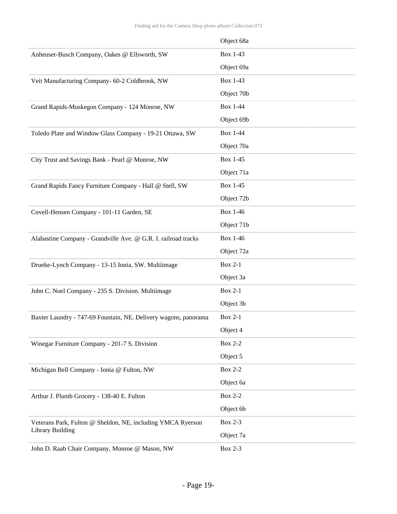|                                                                 | Object 68a      |
|-----------------------------------------------------------------|-----------------|
| Anheuser-Busch Company, Oakes @ Ellsworth, SW                   | Box 1-43        |
|                                                                 | Object 69a      |
| Veit Manufacturing Company- 60-2 Coldbrook, NW                  | Box 1-43        |
|                                                                 | Object 70b      |
| Grand Rapids-Muskegon Company - 124 Monroe, NW                  | <b>Box 1-44</b> |
|                                                                 | Object 69b      |
| Toledo Plate and Window Glass Company - 19-21 Ottawa, SW        | <b>Box 1-44</b> |
|                                                                 | Object 70a      |
| City Trust and Savings Bank - Pearl @ Monroe, NW                | Box 1-45        |
|                                                                 | Object 71a      |
| Grand Rapids Fancy Furniture Company - Hall @ Stell, SW         | Box 1-45        |
|                                                                 | Object 72b      |
| Covell-Hensen Company - 101-11 Garden, SE                       | Box 1-46        |
|                                                                 | Object 71b      |
| Alabastine Company - Grandville Ave. @ G.R. I. railroad tracks  | Box 1-46        |
|                                                                 | Object 72a      |
| Drueke-Lynch Company - 13-15 Ionia, SW. Multiimage              | <b>Box 2-1</b>  |
|                                                                 | Object 3a       |
| John C. Noel Company - 235 S. Division. Multiimage              | <b>Box 2-1</b>  |
|                                                                 | Object 3b       |
| Baxter Laundry - 747-69 Fountain, NE. Delivery wagons, panorama | <b>Box 2-1</b>  |
|                                                                 | Object 4        |
| Winegar Furniture Company - 201-7 S. Division                   | <b>Box 2-2</b>  |
|                                                                 |                 |
|                                                                 | Object 5        |
| Michigan Bell Company - Ionia @ Fulton, NW                      | <b>Box 2-2</b>  |
|                                                                 | Object 6a       |
| Arthur J. Plumb Grocery - 138-40 E. Fulton                      | <b>Box 2-2</b>  |
|                                                                 | Object 6b       |
| Veterans Park, Fulton @ Sheldon, NE, including YMCA Ryerson     | <b>Box 2-3</b>  |
| Library Building                                                | Object 7a       |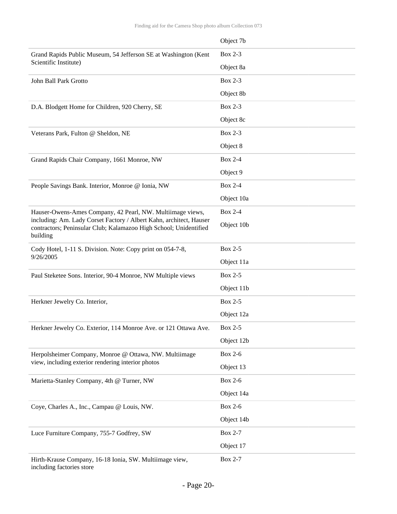|                                                                                                                                                      | Object 7b      |
|------------------------------------------------------------------------------------------------------------------------------------------------------|----------------|
| Grand Rapids Public Museum, 54 Jefferson SE at Washington (Kent                                                                                      | <b>Box 2-3</b> |
| Scientific Institute)                                                                                                                                | Object 8a      |
| John Ball Park Grotto                                                                                                                                | <b>Box 2-3</b> |
|                                                                                                                                                      | Object 8b      |
| D.A. Blodgett Home for Children, 920 Cherry, SE                                                                                                      | <b>Box 2-3</b> |
|                                                                                                                                                      | Object 8c      |
| Veterans Park, Fulton @ Sheldon, NE                                                                                                                  | <b>Box 2-3</b> |
|                                                                                                                                                      | Object 8       |
| Grand Rapids Chair Company, 1661 Monroe, NW                                                                                                          | <b>Box 2-4</b> |
|                                                                                                                                                      | Object 9       |
| People Savings Bank. Interior, Monroe @ Ionia, NW                                                                                                    | <b>Box 2-4</b> |
|                                                                                                                                                      | Object 10a     |
| Hauser-Owens-Ames Company, 42 Pearl, NW. Multiimage views,                                                                                           | <b>Box 2-4</b> |
| including: Am. Lady Corset Factory / Albert Kahn, architect, Hauser<br>contractors; Peninsular Club; Kalamazoo High School; Unidentified<br>building | Object 10b     |
| Cody Hotel, 1-11 S. Division. Note: Copy print on 054-7-8,                                                                                           | <b>Box 2-5</b> |
| 9/26/2005                                                                                                                                            | Object 11a     |
| Paul Steketee Sons. Interior, 90-4 Monroe, NW Multiple views                                                                                         | <b>Box 2-5</b> |
|                                                                                                                                                      | Object 11b     |
| Herkner Jewelry Co. Interior,                                                                                                                        | <b>Box 2-5</b> |
|                                                                                                                                                      | Object 12a     |
| Herkner Jewelry Co. Exterior, 114 Monroe Ave. or 121 Ottawa Ave.                                                                                     | Box 2-5        |
|                                                                                                                                                      | Object 12b     |
| Herpolsheimer Company, Monroe @ Ottawa, NW. Multiimage<br>view, including exterior rendering interior photos                                         | <b>Box 2-6</b> |
|                                                                                                                                                      | Object 13      |
| Marietta-Stanley Company, 4th @ Turner, NW                                                                                                           | <b>Box 2-6</b> |
|                                                                                                                                                      | Object 14a     |
| Coye, Charles A., Inc., Campau @ Louis, NW.                                                                                                          | <b>Box 2-6</b> |
|                                                                                                                                                      | Object 14b     |
| Luce Furniture Company, 755-7 Godfrey, SW                                                                                                            | <b>Box 2-7</b> |
|                                                                                                                                                      | Object 17      |
| Hirth-Krause Company, 16-18 Ionia, SW. Multiimage view,<br>including factories store                                                                 | <b>Box 2-7</b> |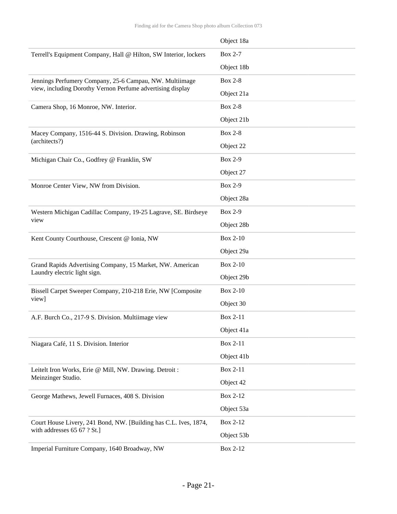|                                                                  | Object 18a      |
|------------------------------------------------------------------|-----------------|
| Terrell's Equipment Company, Hall @ Hilton, SW Interior, lockers | <b>Box 2-7</b>  |
|                                                                  | Object 18b      |
| Jennings Perfumery Company, 25-6 Campau, NW. Multiimage          | <b>Box 2-8</b>  |
| view, including Dorothy Vernon Perfume advertising display       | Object 21a      |
| Camera Shop, 16 Monroe, NW. Interior.                            | <b>Box 2-8</b>  |
|                                                                  | Object 21b      |
| Macey Company, 1516-44 S. Division. Drawing, Robinson            | <b>Box 2-8</b>  |
| (architects?)                                                    | Object 22       |
| Michigan Chair Co., Godfrey @ Franklin, SW                       | <b>Box 2-9</b>  |
|                                                                  | Object 27       |
| Monroe Center View, NW from Division.                            | <b>Box 2-9</b>  |
|                                                                  | Object 28a      |
| Western Michigan Cadillac Company, 19-25 Lagrave, SE. Birdseye   | <b>Box 2-9</b>  |
| view                                                             | Object 28b      |
| Kent County Courthouse, Crescent @ Ionia, NW                     | <b>Box 2-10</b> |
|                                                                  | Object 29a      |
| Grand Rapids Advertising Company, 15 Market, NW. American        | <b>Box 2-10</b> |
| Laundry electric light sign.                                     | Object 29b      |
| Bissell Carpet Sweeper Company, 210-218 Erie, NW [Composite      | <b>Box 2-10</b> |
| view]                                                            | Object 30       |
| A.F. Burch Co., 217-9 S. Division. Multiimage view               | Box 2-11        |
|                                                                  | Object 41a      |
| Niagara Café, 11 S. Division. Interior                           | Box 2-11        |
|                                                                  | Object 41b      |
| Leitelt Iron Works, Erie @ Mill, NW. Drawing. Detroit :          | Box 2-11        |
| Meinzinger Studio.                                               | Object 42       |
| George Mathews, Jewell Furnaces, 408 S. Division                 | Box 2-12        |
|                                                                  | Object 53a      |
| Court House Livery, 241 Bond, NW. [Building has C.L. Ives, 1874, | Box 2-12        |
| with addresses 65 67 ? St.]                                      | Object 53b      |
| Imperial Furniture Company, 1640 Broadway, NW                    | Box 2-12        |